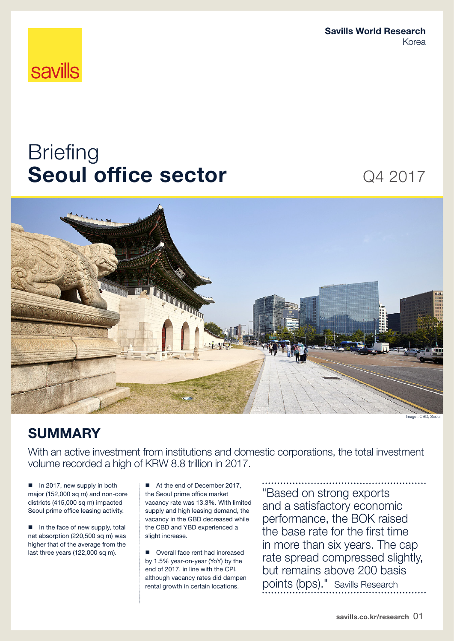Savills World Research Korea

# **savills**

# **Briefing** Seoul office sector Q4 2017



# SUMMARY

With an active investment from institutions and domestic corporations, the total investment volume recorded a high of KRW 8.8 trillion in 2017.

In 2017, new supply in both major (152,000 sq m) and non-core districts (415,000 sq m) impacted Seoul prime office leasing activity.

In the face of new supply, total net absorption (220,500 sq m) was higher that of the average from the last three years (122,000 sq m).

■ At the end of December 2017, the Seoul prime office market vacancy rate was 13.3%. With limited supply and high leasing demand, the vacancy in the GBD decreased while the CBD and YBD experienced a slight increase.

■ Overall face rent had increased by 1.5% year-on-year (YoY) by the end of 2017, in line with the CPI, although vacancy rates did dampen rental growth in certain locations.

"Based on strong exports and a satisfactory economic performance, the BOK raised the base rate for the first time in more than six years. The cap rate spread compressed slightly, but remains above 200 basis points (bps)." Savills Research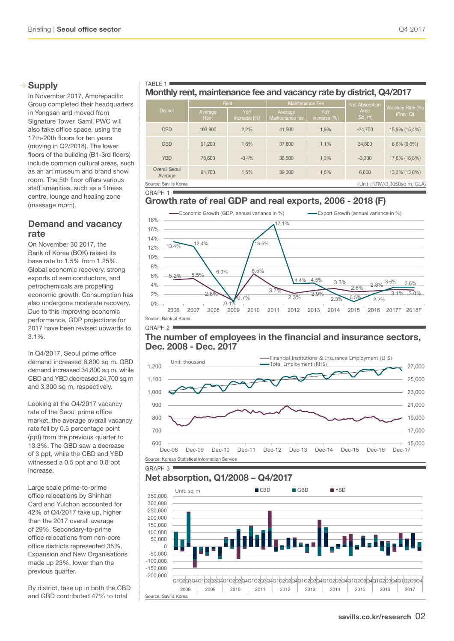# $\rightarrow$  Supply

In November 2017, Amorepacific Group completed their headquarters in Yongsan and moved from Signature Tower. Samil PWC will also take office space, using the 17th-20th floors for ten years (moving in Q2/2018). The lower floors of the building (B1-3rd floors) include common cultural areas, such as an art museum and brand show room. The 5th floor offers various staff amenities, such as a fitness centre, lounge and healing zone (massage room).

# Demand and vacancy rate

On November 30 2017, the Bank of Korea (BOK) raised its base rate to 1.5% from 1.25%. Global economic recovery, strong exports of semiconductors, and petrochemicals are propelling economic growth. Consumption has also undergone moderate recovery. Due to this improving economic performance, GDP projections for 2017 have been revised upwards to 3.1%.

In Q4/2017, Seoul prime office demand increased 6,800 sq m. GBD demand increased 34,800 sq m, while CBD and YBD decreased 24,700 sq m and 3,300 sq m, respectively.

Looking at the Q4/2017 vacancy rate of the Seoul prime office market, the average overall vacancy rate fell by 0.5 percentage point (ppt) from the previous quarter to 13.3%. The GBD saw a decrease of 3 ppt, while the CBD and YBD witnessed a 0.5 ppt and 0.8 ppt increase.

Large scale prime-to-prime office relocations by Shinhan Card and Yulchon accounted for 42% of Q4/2017 take up, higher than the 2017 overall average of 29%. Secondary-to-prime office relocations from non-core office districts represented 35%. Expansion and New Organisations made up 23%, lower than the previous quarter.

By district, take up in both the CBD and GBD contributed 47% to total

#### TABLE 1 | Monthly rent, maintenance fee and vacancy rate by district, Q4/2017

|                                                      | Rent            |                        | Maintenance Fee            |                     | Net Absorption  | Vacancy Rate (%) |  |
|------------------------------------------------------|-----------------|------------------------|----------------------------|---------------------|-----------------|------------------|--|
| <b>District</b>                                      | Average<br>Rent | YoY<br>increase $(\%)$ | Average<br>Maintenance fee | YoY<br>increase (%) | Area<br>(Sq, m) | (Prev, Q)        |  |
| <b>CBD</b>                                           | 103,900         | 22%                    | 41,500                     | 1.9%                | $-24.700$       | 15.9% (15.4%)    |  |
| <b>GBD</b>                                           | 91,200          | 1.6%                   | 37,800                     | 1.1%                | 34,800          | $6,6\%$ (9.6%)   |  |
| <b>YBD</b>                                           | 78,600          | $-0.4%$                | 36,500                     | 1.3%                | $-3,300$        | 17,6% (16,8%)    |  |
| Overall Seoul<br>Average                             | 94.700          | 1.5%                   | 39,300                     | 15%                 | 6,800           | 13,3% (13,8%)    |  |
| (Unit: KRW/3,3058sq m, GLA)<br>Source: Savills Korea |                 |                        |                            |                     |                 |                  |  |

GRAPH 1

# Growth rate of real GDP and real exports, 2006 - 2018 (F)



### The number of employees in the financial and insurance sectors, Dec. 2008 - Dec. 2017



# Net absorption, Q1/2008 – Q4/2017

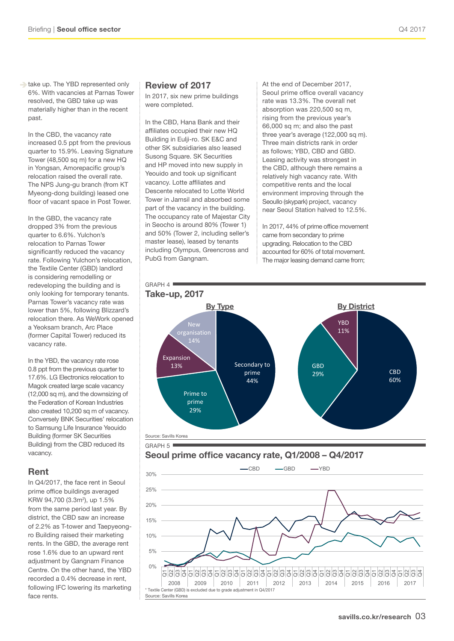take up. The YBD represented only 6%. With vacancies at Parnas Tower resolved, the GBD take up was materially higher than in the recent past.

In the CBD, the vacancy rate increased 0.5 ppt from the previous quarter to 15.9%. Leaving Signature Tower (48,500 sq m) for a new HQ in Yongsan, Amorepacific group's relocation raised the overall rate. The NPS Jung-gu branch (from KT Myeong-dong building) leased one floor of vacant space in Post Tower.

In the GBD, the vacancy rate dropped 3% from the previous quarter to 6.6%. Yulchon's relocation to Parnas Tower significantly reduced the vacancy rate. Following Yulchon's relocation, the Textile Center (GBD) landlord is considering remodelling or redeveloping the building and is only looking for temporary tenants. Parnas Tower's vacancy rate was lower than 5%, following Blizzard's relocation there. As WeWork opened a Yeoksam branch, Arc Place (former Capital Tower) reduced its vacancy rate.

In the YBD, the vacancy rate rose 0.8 ppt from the previous quarter to 17.6%. LG Electronics relocation to Magok created large scale vacancy (12,000 sq m), and the downsizing of the Federation of Korean Industries also created 10,200 sq m of vacancy. Conversely BNK Securities' relocation to Samsung Life Insurance Yeouido Building (former SK Securities Building) from the CBD reduced its vacancy.

### Rent

In Q4/2017, the face rent in Seoul prime office buildings averaged KRW 94,700 (3.3m<sup>2</sup>), up 1.5% from the same period last year. By district, the CBD saw an increase of 2.2% as T-tower and Taepyeongro Building raised their marketing rents. In the GBD, the average rent rose 1.6% due to an upward rent adjustment by Gangnam Finance Centre. On the other hand, the YBD recorded a 0.4% decrease in rent, following IFC lowering its marketing face rents.

#### Review of 2017

In 2017, six new prime buildings were completed.

In the CBD, Hana Bank and their affiliates occupied their new HQ Building in Eulji-ro. SK E&C and other SK subsidiaries also leased Susong Square. SK Securities and HP moved into new supply in Yeouido and took up significant vacancy. Lotte affiliates and Descente relocated to Lotte World Tower in Jamsil and absorbed some part of the vacancy in the building. The occupancy rate of Majestar City in Seocho is around 80% (Tower 1) and 50% (Tower 2, including seller's master lease), leased by tenants including Olympus, Greencross and PubG from Gangnam.

At the end of December 2017, Seoul prime office overall vacancy rate was 13.3%. The overall net absorption was 220,500 sq m. rising from the previous year's 66,000 sq m; and also the past three year's average (122,000 sq m). Three main districts rank in order as follows; YBD, CBD and GBD. Leasing activity was strongest in the CBD, although there remains a relatively high vacancy rate. With competitive rents and the local environment improving through the Seoullo (skypark) project, vacancy near Seoul Station halved to 12.5%.

In 2017, 44% of prime office movement came from secondary to prime upgrading. Relocation to the CBD accounted for 60% of total movement. The major leasing demand came from;





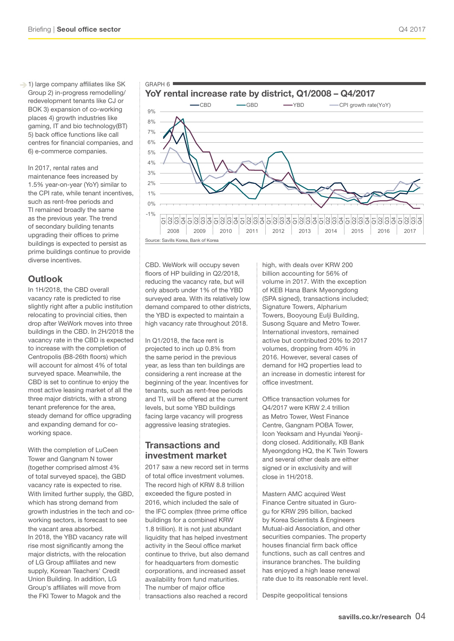1) large company affiliates like SK Group 2) in-progress remodelling/ redevelopment tenants like CJ or BOK 3) expansion of co-working places 4) growth industries like gaming, IT and bio technology(BT) 5) back office functions like call centres for financial companies, and 6) e-commerce companies.

In 2017, rental rates and maintenance fees increased by 1.5% year-on-year (YoY) similar to the CPI rate, while tenant incentives, such as rent-free periods and TI remained broadly the same as the previous year. The trend of secondary building tenants upgrading their offices to prime buildings is expected to persist as prime buildings continue to provide diverse incentives.

# **Outlook**

In 1H/2018, the CBD overall vacancy rate is predicted to rise slightly right after a public institution relocating to provincial cities, then drop after WeWork moves into three buildings in the CBD. In 2H/2018 the vacancy rate in the CBD is expected to increase with the completion of Centropolis (B8-26th floors) which will account for almost 4% of total surveyed space. Meanwhile, the CBD is set to continue to enjoy the most active leasing market of all the three major districts, with a strong tenant preference for the area, steady demand for office upgrading and expanding demand for coworking space.

With the completion of LuCeen Tower and Gangnam N tower (together comprised almost 4% of total surveyed space), the GBD vacancy rate is expected to rise. With limited further supply, the GBD. which has strong demand from growth industries in the tech and coworking sectors, is forecast to see the vacant area absorbed. In 2018, the YBD vacancy rate will rise most significantly among the major districts, with the relocation of LG Group affiliates and new supply, Korean Teachers' Credit Union Building. In addition, LG Group's affiliates will move from the FKI Tower to Magok and the



CBD. WeWork will occupy seven floors of HP building in Q2/2018, reducing the vacancy rate, but will only absorb under 1% of the YBD surveyed area. With its relatively low demand compared to other districts, the YBD is expected to maintain a high vacancy rate throughout 2018.

GRAPH 6

In Q1/2018, the face rent is projected to inch up 0.8% from the same period in the previous year, as less than ten buildings are considering a rent increase at the beginning of the year. Incentives for tenants, such as rent-free periods and TI, will be offered at the current levels, but some YBD buildings facing large vacancy will progress aggressive leasing strategies.

# Transactions and investment market

2017 saw a new record set in terms of total office investment volumes. The record high of KRW 8.8 trillion exceeded the figure posted in 2016, which included the sale of the IFC complex (three prime office buildings for a combined KRW 1.8 trillion). It is not just abundant liquidity that has helped investment activity in the Seoul office market continue to thrive, but also demand for headquarters from domestic corporations, and increased asset availability from fund maturities. The number of major office transactions also reached a record

high, with deals over KRW 200 billion accounting for 56% of volume in 2017. With the exception of KEB Hana Bank Myeongdong (SPA signed), transactions included; Signature Towers, Alpharium Towers, Booyoung Eulji Building, Susong Square and Metro Tower. International investors, remained active but contributed 20% to 2017 volumes, dropping from 40% in 2016. However, several cases of demand for HQ properties lead to an increase in domestic interest for office investment.

Office transaction volumes for Q4/2017 were KRW 2.4 trillion as Metro Tower, West Finance Centre, Gangnam POBA Tower, Icon Yeoksam and Hyundai Yeonjidong closed. Additionally, KB Bank Myeongdong HQ, the K Twin Towers and several other deals are either signed or in exclusivity and will close in 1H/2018.

Mastern AMC acquired West Finance Centre situated in Gurogu for KRW 295 billion, backed by Korea Scientists & Engineers Mutual-aid Association, and other securities companies. The property houses financial firm back office functions, such as call centres and insurance branches. The building has enjoyed a high lease renewal rate due to its reasonable rent level.

Despite geopolitical tensions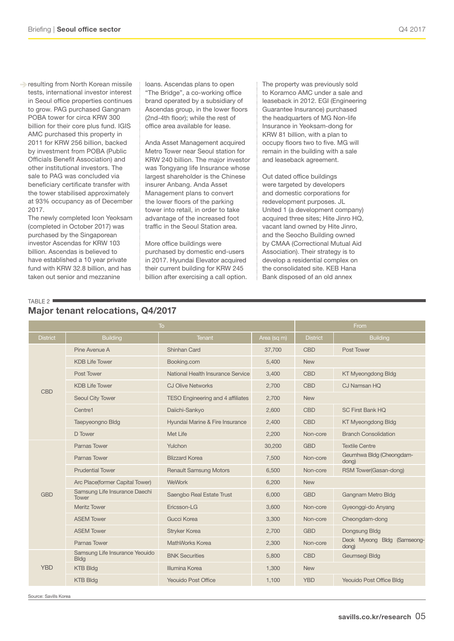**P** resulting from North Korean missile tests, international investor interest in Seoul office properties continues to grow. PAG purchased Gangnam POBA tower for circa KRW 300 billion for their core plus fund. IGIS AMC purchased this property in 2011 for KRW 256 billion, backed by investment from POBA (Public Officials Benefit Association) and other institutional investors. The sale to PAG was concluded via

beneficiary certificate transfer with the tower stabilised approximately at 93% occupancy as of December 2017.

The newly completed Icon Yeoksam (completed in October 2017) was purchased by the Singaporean investor Ascendas for KRW 103 billion. Ascendas is believed to have established a 10 year private fund with KRW 32.8 billion, and has taken out senior and mezzanine

TABLE 2

loans. Ascendas plans to open "The Bridge", a co-working office brand operated by a subsidiary of Ascendas group, in the lower floors (2nd-4th floor); while the rest of office area available for lease.

Anda Asset Management acquired Metro Tower near Seoul station for KRW 240 billion. The major investor was Tongyang life Insurance whose largest shareholder is the Chinese insurer Anbang. Anda Asset Management plans to convert the lower floors of the parking tower into retail, in order to take advantage of the increased foot traffic in the Seoul Station area.

More office buildings were purchased by domestic end-users in 2017. Hyundai Elevator acquired their current building for KRW 245 billion after exercising a call option. The property was previously sold to Koramco AMC under a sale and leaseback in 2012. EGI (Engineering Guarantee Insurance) purchased the headquarters of MG Non-life Insurance in Yeoksam-dong for KRW 81 billion, with a plan to occupy floors two to five. MG will remain in the building with a sale and leaseback agreement.

Out dated office buildings were targeted by developers and domestic corporations for redevelopment purposes. JL United 1 (a development company) acquired three sites; Hite Jinro HQ, vacant land owned by Hite Jinro, and the Seocho Building owned by CMAA (Correctional Mutual Aid Association). Their strategy is to develop a residential complex on the consolidated site. KEB Hana Bank disposed of an old annex

| ТC              |                 |        |             | From            |  |
|-----------------|-----------------|--------|-------------|-----------------|--|
| <b>District</b> | <b>Building</b> | Tenant | Area (sq m) | <b>District</b> |  |

Major tenant relocations, Q4/2017

| <b>District</b> | <b>Building</b>                               | <b>Tenant</b>                            | Area (sq m) | <b>District</b> | <b>Building</b>                      |  |
|-----------------|-----------------------------------------------|------------------------------------------|-------------|-----------------|--------------------------------------|--|
|                 | Pine Avenue A                                 | Shinhan Card                             | 37,700      | <b>CBD</b>      | Post Tower                           |  |
|                 | <b>KDB Life Tower</b>                         | Booking.com                              | 5,400       | <b>New</b>      |                                      |  |
|                 | Post Tower                                    | National Health Insurance Service        | 3,400       | <b>CBD</b>      | <b>KT Myeongdong Bldg</b>            |  |
| <b>CBD</b>      | <b>KDB Life Tower</b>                         | <b>CJ Olive Networks</b>                 | 2,700       | <b>CBD</b>      | CJ Namsan HO                         |  |
|                 | Seoul City Tower                              | <b>TESO Engineering and 4 affiliates</b> | 2,700       | <b>New</b>      |                                      |  |
|                 | Centre1                                       | Daiichi-Sankyo                           | 2,600       | <b>CBD</b>      | <b>SC First Bank HO</b>              |  |
|                 | Taepyeongno Bldg                              | Hyundai Marine & Fire Insurance          | 2,400       | <b>CBD</b>      | <b>KT Myeongdong Bldg</b>            |  |
|                 | D Tower                                       | Met Life                                 | 2,200       | Non-core        | <b>Branch Consolidation</b>          |  |
|                 | Parnas Tower                                  | Yulchon                                  | 30,200      | <b>GBD</b>      | <b>Textile Centre</b>                |  |
|                 | Parnas Tower                                  | <b>Blizzard Korea</b>                    | 7,500       | Non-core        | Geumhwa Bldg (Cheongdam-<br>dong)    |  |
|                 | <b>Prudential Tower</b>                       | <b>Renault Samsung Motors</b>            | 6,500       | Non-core        | RSM Tower(Gasan-dong)                |  |
|                 | Arc Place(former Capital Tower)               | <b>WeWork</b>                            | 6,200       | <b>New</b>      |                                      |  |
| <b>GBD</b>      | Samsung Life Insurance Daechi<br>Tower        | Saengbo Real Estate Trust                | 6,000       | <b>GBD</b>      | Gangnam Metro Bldg                   |  |
|                 | <b>Meritz Tower</b>                           | Fricsson-LG                              | 3,600       | Non-core        | Gyeonggi-do Anyang                   |  |
|                 | <b>ASEM Tower</b>                             | Gucci Korea                              | 3,300       | Non-core        | Cheongdam-dong                       |  |
|                 | <b>ASEM Tower</b>                             | Stryker Korea                            | 2,700       | <b>GBD</b>      | Dongsung Bldg                        |  |
|                 | Parnas Tower                                  | MathWorks Korea                          | 2,300       | Non-core        | Deok Myeong Bldg (Samseong-<br>dong) |  |
|                 | Samsung Life Insurance Yeouido<br><b>Bldg</b> | <b>BNK Securities</b>                    | 5,800       | <b>CBD</b>      | Geumsegi Bldg                        |  |
| <b>YBD</b>      | <b>KTB Bldg</b>                               | Illumina Korea                           | 1,300       | <b>New</b>      |                                      |  |
|                 | <b>KTB Bldg</b>                               | Yeouido Post Office                      | 1,100       | <b>YBD</b>      | Yeouido Post Office Bldg             |  |

Source: Savills Korea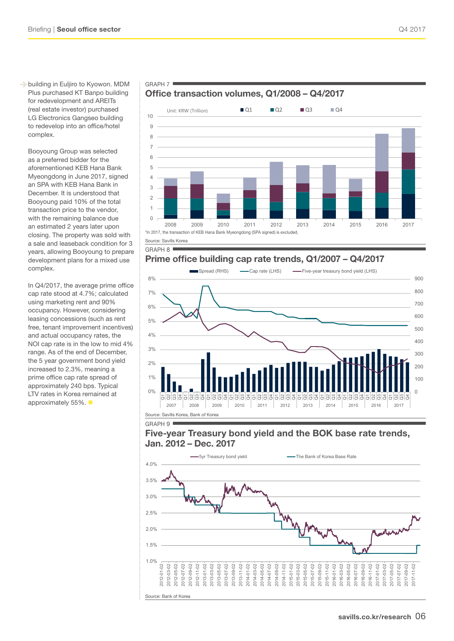building in Euljiro to Kyowon. MDM Plus purchased KT Banpo building for redevelopment and AREITs (real estate investor) purchased LG Electronics Gangseo building to redevelop into an office/hotel complex.

Booyoung Group was selected as a preferred bidder for the aforementioned KEB Hana Bank Myeongdong in June 2017, signed an SPA with KEB Hana Bank in December. It is understood that Booyoung paid 10% of the total transaction price to the vendor, with the remaining balance due an estimated 2 years later upon closing. The property was sold with a sale and leaseback condition for 3 years, allowing Booyoung to prepare development plans for a mixed use complex.

In Q4/2017, the average prime office cap rate stood at 4.7%; calculated using marketing rent and 90% occupancy. However, considering leasing concessions (such as rent free, tenant improvement incentives) and actual occupancy rates, the NOI cap rate is in the low to mid 4% range. As of the end of December, the 5 year government bond yield increased to 2.3%, meaning a prime office cap rate spread of approximately 240 bps. Typical LTV rates in Korea remained at approximately 55%.

# Office transaction volumes, Q1/2008 – Q4/2017



GRAPH 8

GRAPH 7

# Prime office building cap rate trends, Q1/2007 – Q4/2017



# Five-year Treasury bond yield and the BOK base rate trends, Jan. 2012 – Dec. 2017

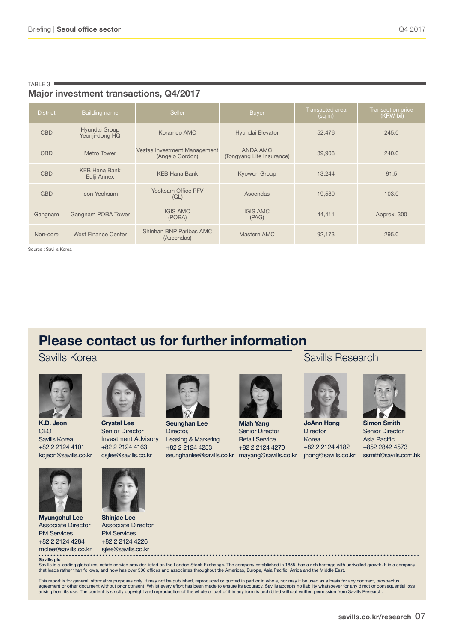Major investment transactions, Q4/2017

| <b>District</b>      | <b>Building name</b>                                           | <b>Seller</b>        | Buyer                                 | Transacted area<br>(sq m) | Transaction price<br>(KRW bil) |  |
|----------------------|----------------------------------------------------------------|----------------------|---------------------------------------|---------------------------|--------------------------------|--|
| <b>CBD</b>           | Hyundai Group<br>Yeonji-dong HQ                                | Koramco AMC          | Hyundai Elevator                      | 52,476                    | 245.0                          |  |
| <b>CBD</b>           | Vestas Investment Management<br>Metro Tower<br>(Angelo Gordon) |                      | ANDA AMC<br>(Tongyang Life Insurance) | 39,908                    | 240.0                          |  |
| <b>CBD</b>           | <b>KEB Hana Bank</b><br>Eulji Annex                            | <b>KEB Hana Bank</b> | Kyowon Group                          | 13,244                    | 91.5                           |  |
| <b>GBD</b>           | <b>Yeoksam Office PFV</b><br>Icon Yeoksam<br>(GL)              |                      | Ascendas                              | 19,580                    | 103.0                          |  |
| Gangnam              | <b>IGIS AMC</b><br>Gangnam POBA Tower<br>(POBA)                |                      | <b>IGIS AMC</b><br>(PAG)              | 44,411                    | Approx. 300                    |  |
| Non-core             | Shinhan BNP Paribas AMC<br>West Finance Center<br>(Ascendas)   |                      | Mastern AMC                           | 92,173                    | 295.0                          |  |
| Course Caville Karos |                                                                |                      |                                       |                           |                                |  |

ce : Savills Korea

TABLE 3

# Please contact us for further information

# Savills Korea



K.D. Jeon **CEO** Savills Korea +82 2 2124 4101 kdjeon@savills.co.kr



Crystal Lee Senior Director Investment Advisory +82 2 2124 4163 csjlee@savills.co.kr



Shinjae Lee Associate Director PM Services +82 2 2124 4226

Savills plc mclee@savills.co.kr

Myungchul Lee Associate Director PM Services +82 2 2124 4284



Seunghan Lee Director,

seunghanlee@savills.co.kr mayang@savills.co.kr jhong@savills.co.kr Leasing & Marketing +82 2 2124 4253



Miah Yang Senior Director Retail Service +82 2 2124 4270

Savills Research



JoAnn Hong **Director** Korea +82 2 2124 4182



Simon Smith Senior Director Asia Pacific +852 2842 4573 ssmith@savills.com.hk



sjlee@savills.co.kr

Savills is a leading global real estate service provider listed on the London Stock Exchange. The company established in 1855, has a rich heritage with unrivalled growth. It is a company<br>that leads rather than follows, and

This report is for general informative purposes only. It may not be published, reproduced or quoted in part or in whole, nor may it be used as a basis for any contract, prospectus, agreement or other document without prior consent. Whilst every effort has been made to ensure its accuracy, Savills accepts no liability whatsoever for any direct or consequential loss<br>arising from its use. The content is